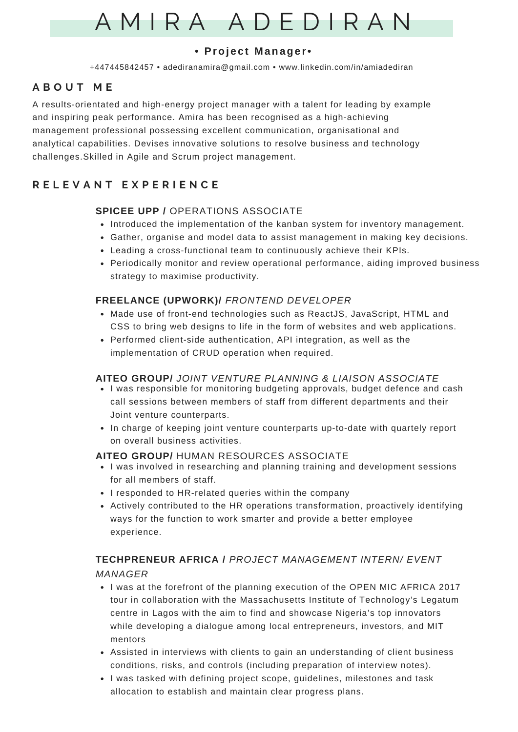# A M I R A A D E D I R A N

## **• Proj e c t M anage r•**

+447445842457 • adediranamira@gmail.com • www.linkedin.com/in/amiadediran

## **A B O U T M E**

A results-orientated and high-energy project manager with a talent for leading by example and inspiring peak performance. Amira has been recognised as a high-achieving management professional possessing excellent communication, organisational and analytical capabilities. Devises innovative solutions to resolve business and technology challenges.Skilled in Agile and Scrum project management.

## **R E L E V A N T E X P E R I E N C E**

## **SPICEE UPP /** OPERATIONS ASSOCIATE

- Introduced the implementation of the kanban system for inventory management.
- Gather, organise and model data to assist management in making key decisions.
- Leading a cross-functional team to continuously achieve their KPIs.
- Periodically monitor and review operational performance, aiding improved business strategy to maximise productivity.

## **FREELANCE (UPWORK)/** *FRONTEND DEVELOPER*

- Made use of front-end technologies such as ReactJS, JavaScript, HTML and CSS to bring web designs to life in the form of websites and web applications.
- Performed client-side authentication, API integration, as well as the implementation of CRUD operation when required.

## **AITEO GROUP/** *JOINT VENTURE PLANNING & LIAISON ASSOCIATE*

- I was responsible for monitoring budgeting approvals, budget defence and cash call sessions between members of staff from different departments and their Joint venture counterparts.
- In charge of keeping joint venture counterparts up-to-date with quartely report on overall business activities.

#### **AITEO GROUP/** HUMAN RESOURCES ASSOCIATE

- I was involved in researching and planning training and development sessions for all members of staff.
- I responded to HR-related queries within the company
- Actively contributed to the HR operations transformation, proactively identifying ways for the function to work smarter and provide a better employee experience.

## **TECHPRENEUR AFRICA /** *PROJECT MANAGEMENT INTERN/ EVENT*

#### *MANAGER*

- I was at the forefront of the planning execution of the OPEN MIC AFRICA 2017 tour in collaboration with the Massachusetts Institute of Technology's Legatum centre in Lagos with the aim to find and showcase Nigeria's top innovators while developing a dialogue among local entrepreneurs, investors, and MIT mentors
- Assisted in interviews with clients to gain an understanding of client business conditions, risks, and controls (including preparation of interview notes).
- I was tasked with defining project scope, guidelines, milestones and task allocation to establish and maintain clear progress plans.